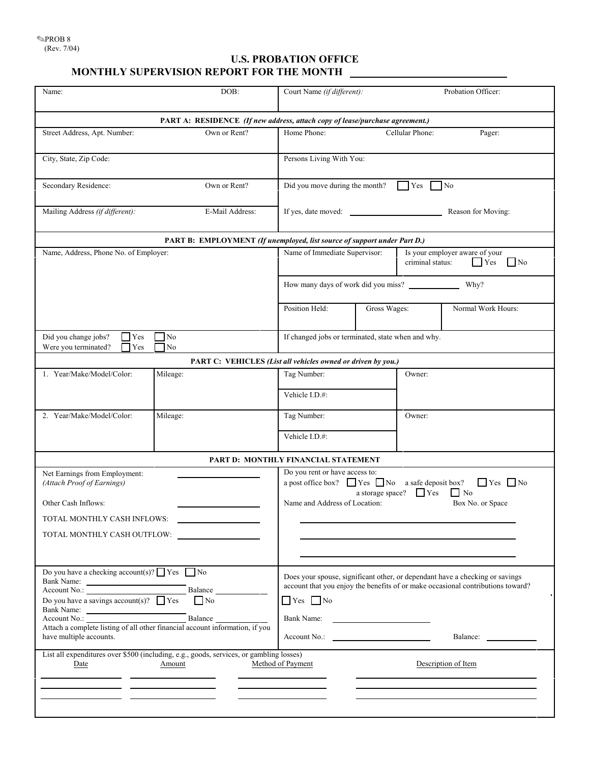## **U.S. PROBATION OFFICE MONTHLY SUPERVISION REPORT FOR THE MONTH**

| Name:                                                                                                                                                                                                                                                                                  | DOB:                                                                                                                                                                                                                     | Court Name (if different):                                                                                                                                                                                            |              |                 | Probation Officer:  |  |
|----------------------------------------------------------------------------------------------------------------------------------------------------------------------------------------------------------------------------------------------------------------------------------------|--------------------------------------------------------------------------------------------------------------------------------------------------------------------------------------------------------------------------|-----------------------------------------------------------------------------------------------------------------------------------------------------------------------------------------------------------------------|--------------|-----------------|---------------------|--|
| PART A: RESIDENCE (If new address, attach copy of lease/purchase agreement.)                                                                                                                                                                                                           |                                                                                                                                                                                                                          |                                                                                                                                                                                                                       |              |                 |                     |  |
| Street Address, Apt. Number:                                                                                                                                                                                                                                                           | Own or Rent?                                                                                                                                                                                                             | Home Phone:                                                                                                                                                                                                           |              | Cellular Phone: | Pager:              |  |
| City, State, Zip Code:                                                                                                                                                                                                                                                                 |                                                                                                                                                                                                                          | Persons Living With You:                                                                                                                                                                                              |              |                 |                     |  |
| Secondary Residence:                                                                                                                                                                                                                                                                   | Own or Rent?                                                                                                                                                                                                             | Did you move during the month?                                                                                                                                                                                        |              | Yes             | N <sub>o</sub>      |  |
| Mailing Address (if different):                                                                                                                                                                                                                                                        | E-Mail Address:                                                                                                                                                                                                          | If yes, date moved:                                                                                                                                                                                                   |              |                 | Reason for Moving:  |  |
| PART B: EMPLOYMENT (If unemployed, list source of support under Part D.)                                                                                                                                                                                                               |                                                                                                                                                                                                                          |                                                                                                                                                                                                                       |              |                 |                     |  |
| Name, Address, Phone No. of Employer:                                                                                                                                                                                                                                                  |                                                                                                                                                                                                                          | Name of Immediate Supervisor:<br>Is your employer aware of your<br>criminal status:<br><b>Yes</b><br>$\blacksquare$ No                                                                                                |              |                 |                     |  |
|                                                                                                                                                                                                                                                                                        |                                                                                                                                                                                                                          | How many days of work did you miss?<br>Why?                                                                                                                                                                           |              |                 |                     |  |
|                                                                                                                                                                                                                                                                                        |                                                                                                                                                                                                                          | Position Held:                                                                                                                                                                                                        | Gross Wages: |                 | Normal Work Hours:  |  |
| Did you change jobs?<br>N <sub>o</sub><br><b>Yes</b><br>Were you terminated?<br>$\Box$ Yes<br>No                                                                                                                                                                                       |                                                                                                                                                                                                                          | If changed jobs or terminated, state when and why.                                                                                                                                                                    |              |                 |                     |  |
| PART C: VEHICLES (List all vehicles owned or driven by you.)                                                                                                                                                                                                                           |                                                                                                                                                                                                                          |                                                                                                                                                                                                                       |              |                 |                     |  |
| 1. Year/Make/Model/Color:                                                                                                                                                                                                                                                              | Mileage:                                                                                                                                                                                                                 | Tag Number:                                                                                                                                                                                                           |              | Owner:          |                     |  |
|                                                                                                                                                                                                                                                                                        |                                                                                                                                                                                                                          | Vehicle I.D.#:                                                                                                                                                                                                        |              |                 |                     |  |
| 2. Year/Make/Model/Color:                                                                                                                                                                                                                                                              | Mileage:                                                                                                                                                                                                                 | Tag Number:                                                                                                                                                                                                           |              | Owner:          |                     |  |
|                                                                                                                                                                                                                                                                                        |                                                                                                                                                                                                                          | Vehicle I.D.#:                                                                                                                                                                                                        |              |                 |                     |  |
| PART D: MONTHLY FINANCIAL STATEMENT                                                                                                                                                                                                                                                    |                                                                                                                                                                                                                          |                                                                                                                                                                                                                       |              |                 |                     |  |
| Net Earnings from Employment:<br>(Attach Proof of Earnings)<br>Other Cash Inflows:<br>TOTAL MONTHLY CASH INFLOWS:                                                                                                                                                                      | Do you rent or have access to:<br>a post office box? $\Box$ Yes $\Box$ No a safe deposit box? $\Box$ Yes $\Box$ No<br>$\Gamma$ Yes<br>$\Box$ No<br>a storage space?<br>Name and Address of Location:<br>Box No. or Space |                                                                                                                                                                                                                       |              |                 |                     |  |
| TOTAL MONTHLY CASH OUTFLOW:                                                                                                                                                                                                                                                            |                                                                                                                                                                                                                          |                                                                                                                                                                                                                       |              |                 |                     |  |
| Do you have a checking account(s)? $\Box$ Yes $\Box$ No<br>Bank Name:<br>Account No.:<br>Balance<br>Do you have a savings account(s)? $\Box$ Yes<br>$\Box$ No<br>Bank Name:<br>Balance<br>Account No.:<br>Attach a complete listing of all other financial account information, if you |                                                                                                                                                                                                                          | Does your spouse, significant other, or dependant have a checking or savings<br>account that you enjoy the benefits of or make occasional contributions toward?<br>$\blacksquare$ Yes $\blacksquare$ No<br>Bank Name: |              |                 |                     |  |
| have multiple accounts.<br>List all expenditures over \$500 (including, e.g., goods, services, or gambling losses)                                                                                                                                                                     |                                                                                                                                                                                                                          | Account No.:<br>Balance:                                                                                                                                                                                              |              |                 |                     |  |
| Date                                                                                                                                                                                                                                                                                   | Amount                                                                                                                                                                                                                   | Method of Payment                                                                                                                                                                                                     |              |                 | Description of Item |  |